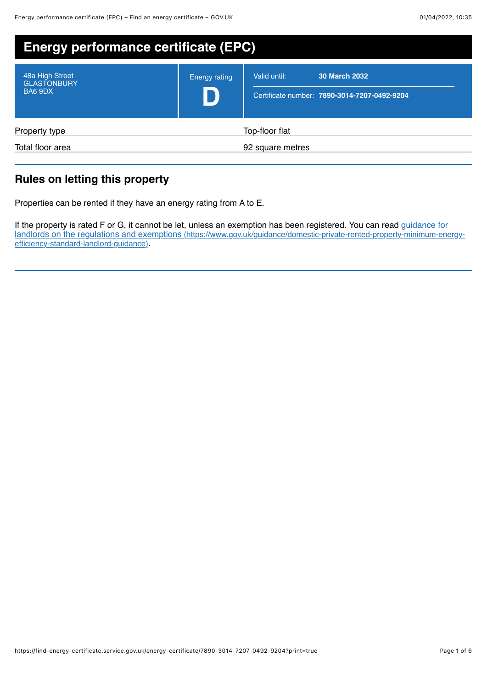| <b>Energy performance certificate (EPC)</b>      |                      |                                                                                      |
|--------------------------------------------------|----------------------|--------------------------------------------------------------------------------------|
| 48a High Street<br><b>GLASTONBURY</b><br>BA6 9DX | <b>Energy rating</b> | <b>30 March 2032</b><br>Valid until:<br>Certificate number: 7890-3014-7207-0492-9204 |
| Property type                                    |                      | Top-floor flat                                                                       |
| Total floor area                                 |                      | 92 square metres                                                                     |

# **Rules on letting this property**

Properties can be rented if they have an energy rating from A to E.

If the property is rated F or G, it cannot be let, unless an exemption has been registered. You can read guidance for [landlords on the regulations and exemptions \(https://www.gov.uk/guidance/domestic-private-rented-property-minimum-energy](https://www.gov.uk/guidance/domestic-private-rented-property-minimum-energy-efficiency-standard-landlord-guidance)efficiency-standard-landlord-guidance).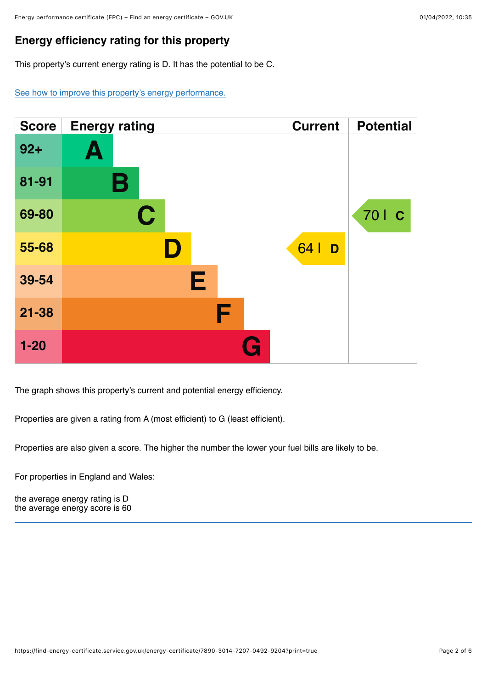## **Energy efficiency rating for this property**

This property's current energy rating is D. It has the potential to be C.

[See how to improve this property's energy performance.](#page-3-0)

| <b>Score</b> | <b>Energy rating</b> | <b>Current</b> | <b>Potential</b> |
|--------------|----------------------|----------------|------------------|
| $92+$        | Ą                    |                |                  |
| 81-91        | В                    |                |                  |
| 69-80        | $\mathbf C$          |                | 70   C           |
| 55-68        | D                    | 64  <br>D      |                  |
| 39-54        | Е                    |                |                  |
| $21 - 38$    | F                    |                |                  |
| $1 - 20$     | Œ                    |                |                  |

The graph shows this property's current and potential energy efficiency.

Properties are given a rating from A (most efficient) to G (least efficient).

Properties are also given a score. The higher the number the lower your fuel bills are likely to be.

For properties in England and Wales:

the average energy rating is D the average energy score is 60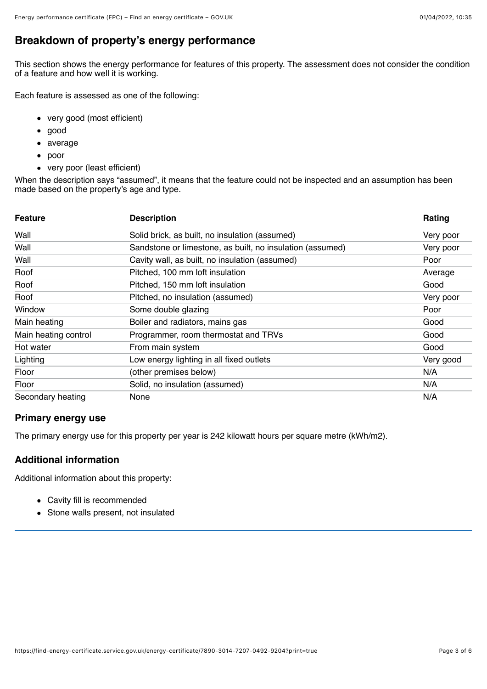## **Breakdown of property's energy performance**

This section shows the energy performance for features of this property. The assessment does not consider the condition of a feature and how well it is working.

Each feature is assessed as one of the following:

- very good (most efficient)
- good  $\bullet$
- average  $\bullet$
- poor
- very poor (least efficient)

When the description says "assumed", it means that the feature could not be inspected and an assumption has been made based on the property's age and type.

| <b>Feature</b>       | <b>Description</b>                                        | Rating    |
|----------------------|-----------------------------------------------------------|-----------|
| Wall                 | Solid brick, as built, no insulation (assumed)            | Very poor |
| Wall                 | Sandstone or limestone, as built, no insulation (assumed) | Very poor |
| Wall                 | Cavity wall, as built, no insulation (assumed)            | Poor      |
| Roof                 | Pitched, 100 mm loft insulation                           | Average   |
| Roof                 | Pitched, 150 mm loft insulation                           | Good      |
| Roof                 | Pitched, no insulation (assumed)                          | Very poor |
| Window               | Some double glazing                                       | Poor      |
| Main heating         | Boiler and radiators, mains gas                           | Good      |
| Main heating control | Programmer, room thermostat and TRVs                      | Good      |
| Hot water            | From main system                                          | Good      |
| Lighting             | Low energy lighting in all fixed outlets                  | Very good |
| Floor                | (other premises below)                                    | N/A       |
| Floor                | Solid, no insulation (assumed)                            | N/A       |
| Secondary heating    | None                                                      | N/A       |

#### **Primary energy use**

The primary energy use for this property per year is 242 kilowatt hours per square metre (kWh/m2).

#### **Additional information**

Additional information about this property:

- Cavity fill is recommended
- Stone walls present, not insulated $\bullet$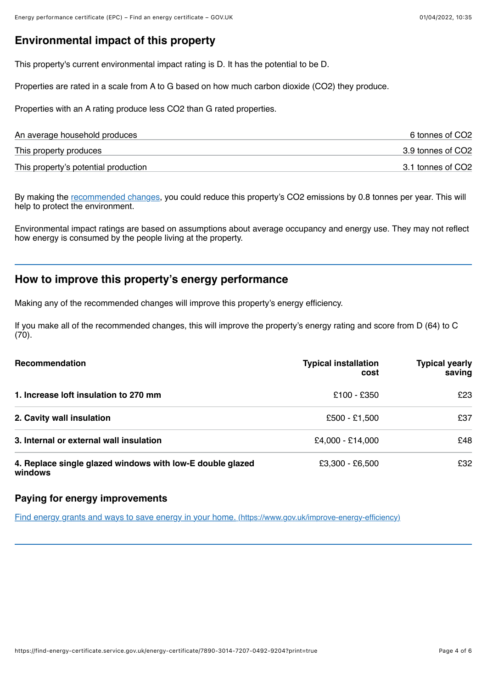### **Environmental impact of this property**

This property's current environmental impact rating is D. It has the potential to be D.

Properties are rated in a scale from A to G based on how much carbon dioxide (CO2) they produce.

Properties with an A rating produce less CO2 than G rated properties.

| An average household produces        | 6 tonnes of CO2   |
|--------------------------------------|-------------------|
| This property produces               | 3.9 tonnes of CO2 |
| This property's potential production | 3.1 tonnes of CO2 |

By making the [recommended changes](#page-3-0), you could reduce this property's CO2 emissions by 0.8 tonnes per year. This will help to protect the environment.

Environmental impact ratings are based on assumptions about average occupancy and energy use. They may not reflect how energy is consumed by the people living at the property.

### <span id="page-3-0"></span>**How to improve this property's energy performance**

Making any of the recommended changes will improve this property's energy efficiency.

If you make all of the recommended changes, this will improve the property's energy rating and score from D (64) to C  $(70).$ 

| Recommendation                                                       | <b>Typical installation</b><br>cost | <b>Typical yearly</b><br>saving |
|----------------------------------------------------------------------|-------------------------------------|---------------------------------|
| 1. Increase loft insulation to 270 mm                                | £100 - £350                         | £23                             |
| 2. Cavity wall insulation                                            | £500 - £1,500                       | £37                             |
| 3. Internal or external wall insulation                              | £4,000 - £14,000                    | £48                             |
| 4. Replace single glazed windows with low-E double glazed<br>windows | £3,300 - £6,500                     | £32                             |

#### **Paying for energy improvements**

[Find energy grants and ways to save energy in your home. \(https://www.gov.uk/improve-energy-efficiency\)](https://www.gov.uk/improve-energy-efficiency)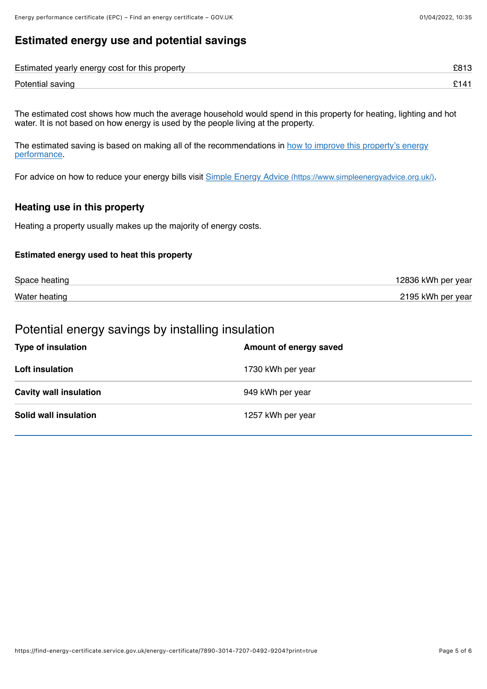## **Estimated energy use and potential savings**

| Estimated yearly energy cost for this property |  |
|------------------------------------------------|--|
| Potential saving                               |  |

The estimated cost shows how much the average household would spend in this property for heating, lighting and hot water. It is not based on how energy is used by the people living at the property.

[The estimated saving is based on making all of the recommendations in how to improve this property's energy](#page-3-0) performance.

For advice on how to reduce your energy bills visit [Simple Energy Advice \(https://www.simpleenergyadvice.org.uk/\)](https://www.simpleenergyadvice.org.uk/).

#### **Heating use in this property**

Heating a property usually makes up the majority of energy costs.

#### **Estimated energy used to heat this property**

| Space heating | 12836 kWh per year |
|---------------|--------------------|
| Water heating | 2195 kWh per year  |

# Potential energy savings by installing insulation

| <b>Type of insulation</b>     | Amount of energy saved |
|-------------------------------|------------------------|
| Loft insulation               | 1730 kWh per year      |
| <b>Cavity wall insulation</b> | 949 kWh per year       |
| Solid wall insulation         | 1257 kWh per year      |